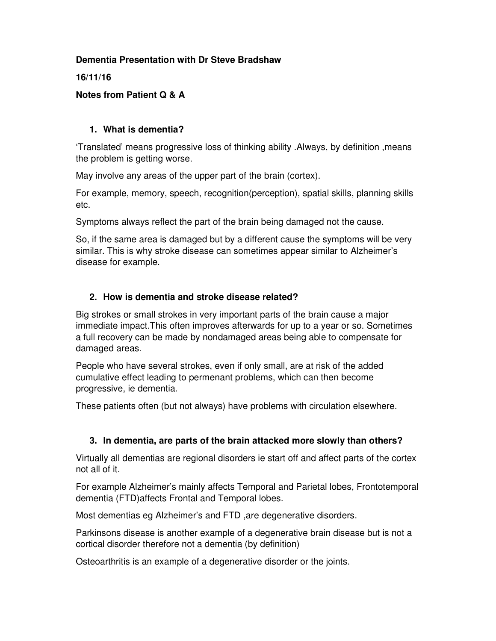### **Dementia Presentation with Dr Steve Bradshaw**

### **16/11/16**

## **Notes from Patient Q & A**

## **1. What is dementia?**

'Translated' means progressive loss of thinking ability .Always, by definition ,means the problem is getting worse.

May involve any areas of the upper part of the brain (cortex).

For example, memory, speech, recognition(perception), spatial skills, planning skills etc.

Symptoms always reflect the part of the brain being damaged not the cause.

So, if the same area is damaged but by a different cause the symptoms will be very similar. This is why stroke disease can sometimes appear similar to Alzheimer's disease for example.

# **2. How is dementia and stroke disease related?**

Big strokes or small strokes in very important parts of the brain cause a major immediate impact.This often improves afterwards for up to a year or so. Sometimes a full recovery can be made by nondamaged areas being able to compensate for damaged areas.

People who have several strokes, even if only small, are at risk of the added cumulative effect leading to permenant problems, which can then become progressive, ie dementia.

These patients often (but not always) have problems with circulation elsewhere.

# **3. In dementia, are parts of the brain attacked more slowly than others?**

Virtually all dementias are regional disorders ie start off and affect parts of the cortex not all of it.

For example Alzheimer's mainly affects Temporal and Parietal lobes, Frontotemporal dementia (FTD)affects Frontal and Temporal lobes.

Most dementias eg Alzheimer's and FTD ,are degenerative disorders.

Parkinsons disease is another example of a degenerative brain disease but is not a cortical disorder therefore not a dementia (by definition)

Osteoarthritis is an example of a degenerative disorder or the joints.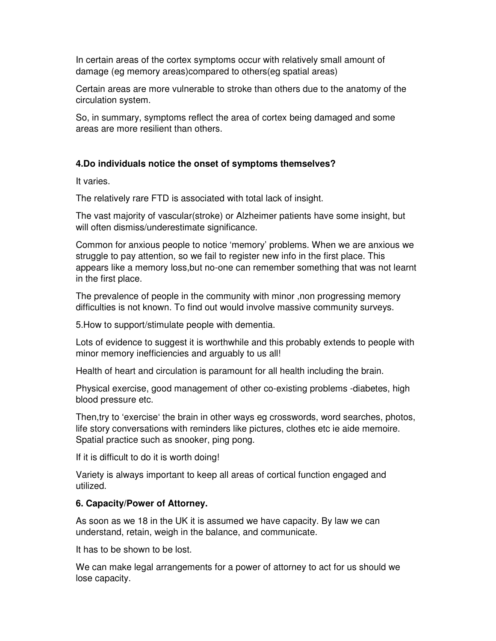In certain areas of the cortex symptoms occur with relatively small amount of damage (eg memory areas)compared to others(eg spatial areas)

Certain areas are more vulnerable to stroke than others due to the anatomy of the circulation system.

So, in summary, symptoms reflect the area of cortex being damaged and some areas are more resilient than others.

#### **4.Do individuals notice the onset of symptoms themselves?**

It varies.

The relatively rare FTD is associated with total lack of insight.

The vast majority of vascular(stroke) or Alzheimer patients have some insight, but will often dismiss/underestimate significance.

Common for anxious people to notice 'memory' problems. When we are anxious we struggle to pay attention, so we fail to register new info in the first place. This appears like a memory loss,but no-one can remember something that was not learnt in the first place.

The prevalence of people in the community with minor ,non progressing memory difficulties is not known. To find out would involve massive community surveys.

5.How to support/stimulate people with dementia.

Lots of evidence to suggest it is worthwhile and this probably extends to people with minor memory inefficiencies and arguably to us all!

Health of heart and circulation is paramount for all health including the brain.

Physical exercise, good management of other co-existing problems -diabetes, high blood pressure etc.

Then,try to 'exercise' the brain in other ways eg crosswords, word searches, photos, life story conversations with reminders like pictures, clothes etc ie aide memoire. Spatial practice such as snooker, ping pong.

If it is difficult to do it is worth doing!

Variety is always important to keep all areas of cortical function engaged and utilized.

#### **6. Capacity/Power of Attorney.**

As soon as we 18 in the UK it is assumed we have capacity. By law we can understand, retain, weigh in the balance, and communicate.

It has to be shown to be lost.

We can make legal arrangements for a power of attorney to act for us should we lose capacity.